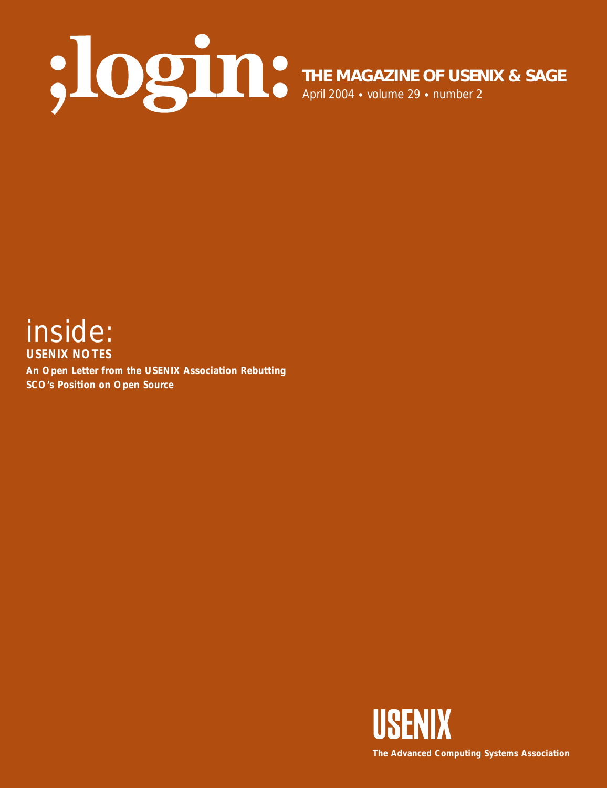

**THE MAGAZINE OF USENIX & SAGE**

April 2004 • volume 29 • number 2



**An Open Letter from the USENIX Association Rebutting SCO's Position on Open Source**

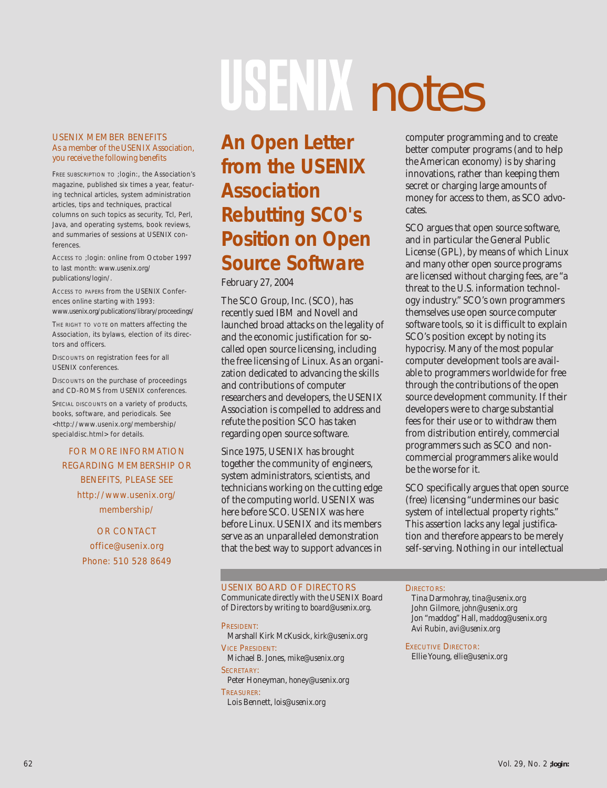# USEN notes

#### USENIX MEMBER BENEFITS As a member of the USENIX Association, you receive the following benefits

FREE SUBSCRIPTION TO *;login:*, the Association's magazine, published six times a year, featuring technical articles, system administration articles, tips and techniques, practical columns on such topics as security, Tcl, Perl, Java, and operating systems, book reviews, and summaries of sessions at USENIX conferences.

ACCESS TO *;login:* online from October 1997 to last month: *www.usenix.org/ publications/login/.*

ACCESS TO PAPERS from the USENIX Conferences online starting with 1993: *www.usenix.org/publications/library/proceedings/*

THE RIGHT TO VOTE ON matters affecting the Association, its bylaws, election of its directors and officers.

DISCOUNTS on registration fees for all USENIX conferences.

DISCOUNTS on the purchase of proceedings and CD-ROMS from USENIX conferences.

SPECIAL DISCOUNTS on a variety of products, books, software, and periodicals. See *<http://www.usenix.org/membership/ specialdisc.html>* for details.

#### FOR MORE INFORMATION REGARDING MEMBERSHIP OR BENEFITS, PLEASE SEE *http://www.usenix.org/ membership/*

OR CONTACT *office@usenix.org* Phone: 510 528 8649

# **An Open Letter from the USENIX Association Rebutting SCO's Position on Open Source Software**

February 27, 2004

The SCO Group, Inc. (SCO), has recently sued IBM and Novell and launched broad attacks on the legality of and the economic justification for socalled open source licensing, including the free licensing of Linux. As an organization dedicated to advancing the skills and contributions of computer researchers and developers, the USENIX Association is compelled to address and refute the position SCO has taken regarding open source software.

Since 1975, USENIX has brought together the community of engineers, system administrators, scientists, and technicians working on the cutting edge of the computing world. USENIX was here before SCO. USENIX was here before Linux. USENIX and its members serve as an unparalleled demonstration that the best way to support advances in

computer programming and to create better computer programs (and to help the American economy) is by sharing innovations, rather than keeping them secret or charging large amounts of money for access to them, as SCO advocates.

SCO argues that open source software, and in particular the General Public License (GPL), by means of which Linux and many other open source programs are licensed without charging fees, are "a threat to the U.S. information technology industry." SCO's own programmers themselves use open source computer software tools, so it is difficult to explain SCO's position except by noting its hypocrisy. Many of the most popular computer development tools are available to programmers worldwide for free through the contributions of the open source development community. If their developers were to charge substantial fees for their use or to withdraw them from distribution entirely, commercial programmers such as SCO and noncommercial programmers alike would be the worse for it.

SCO specifically argues that open source (free) licensing "undermines our basic system of intellectual property rights." This assertion lacks any legal justification and therefore appears to be merely self-serving. Nothing in our intellectual

#### USENIX BOARD OF DIRECTORS

Communicate directly with the USENIX Board of Directors by writing to *board@usenix.org*.

PRESIDENT: Marshall Kirk McKusick, *kirk@usenix.org* VICE PRESIDENT: Michael B. Jones, *mike@usenix.org* SECRETARY: Peter Honeyman, *honey@usenix.org*

TREASURER:

Lois Bennett, *lois@usenix.org*

#### DIRECTORS:

Tina Darmohray, *tina@usenix.org* John Gilmore, *john@usenix.org* Jon "maddog" Hall, *maddog@usenix.org* Avi Rubin, *avi@usenix.org*

EXECUTIVE DIRECTOR: Ellie Young, *ellie@usenix.org*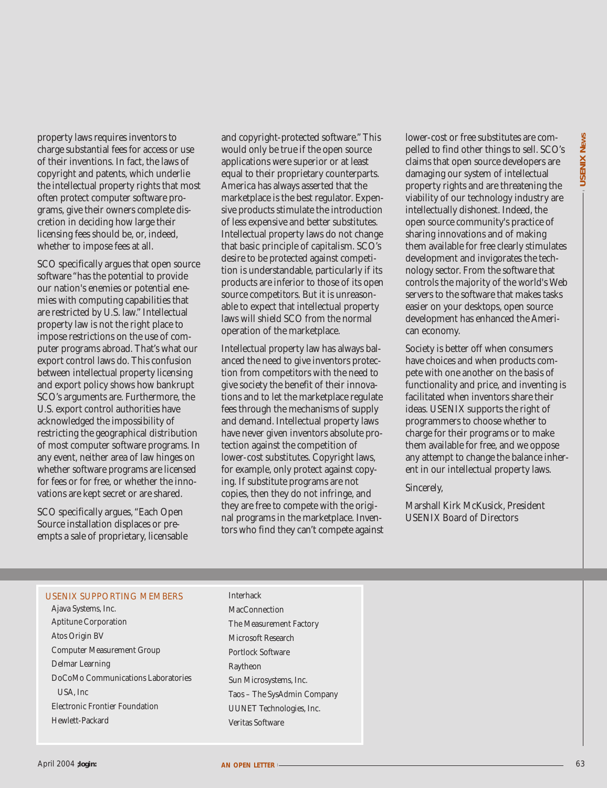property laws requires inventors to charge substantial fees for access or use of their inventions. In fact, the laws of copyright and patents, which underlie the intellectual property rights that most often protect computer software programs, give their owners complete discretion in deciding how large their licensing fees should be, or, indeed, whether to impose fees at all.

**Properties and the main of the set of the main of the set of the main of the set of the set of the set of the set of the set of the set of the set of the set of the set of the set of the set of the set of the set of the** SCO specifically argues that open source software "has the potential to provide our nation's enemies or potential enemies with computing capabilities that are restricted by U.S. law." Intellectual property law is not the right place to impose restrictions on the use of computer programs abroad. That's what our export control laws do. This confusion between intellectual property licensing and export policy shows how bankrupt SCO's arguments are. Furthermore, the U.S. export control authorities have acknowledged the impossibility of restricting the geographical distribution of most computer software programs. In any event, neither area of law hinges on whether software programs are licensed for fees or for free, or whether the innovations are kept secret or are shared.

SCO specifically argues, "Each Open Source installation displaces or preempts a sale of proprietary, licensable and copyright-protected software." This would only be true if the open source applications were superior or at least equal to their proprietary counterparts. America has always asserted that the marketplace is the best regulator. Expensive products stimulate the introduction of less expensive and better substitutes. Intellectual property laws do not change that basic principle of capitalism. SCO's desire to be protected against competition is understandable, particularly if its products are inferior to those of its open source competitors. But it is unreasonable to expect that intellectual property laws will shield SCO from the normal operation of the marketplace.

Intellectual property law has always balanced the need to give inventors protection from competitors with the need to give society the benefit of their innovations and to let the marketplace regulate fees through the mechanisms of supply and demand. Intellectual property laws have never given inventors absolute protection against the competition of lower-cost substitutes. Copyright laws, for example, only protect against copying. If substitute programs are not copies, then they do not infringe, and they are free to compete with the original programs in the marketplace. Inventors who find they can't compete against lower-cost or free substitutes are compelled to find other things to sell. SCO's claims that open source developers are damaging our system of intellectual property rights and are threatening the viability of our technology industry are intellectually dishonest. Indeed, the open source community's practice of sharing innovations and of making them available for free clearly stimulates development and invigorates the technology sector. From the software that controls the majority of the world's Web servers to the software that makes tasks easier on your desktops, open source development has enhanced the American economy.

Society is better off when consumers have choices and when products compete with one another on the basis of functionality and price, and inventing is facilitated when inventors share their ideas. USENIX supports the right of programmers to choose whether to charge for their programs or to make them available for free, and we oppose any attempt to change the balance inherent in our intellectual property laws.

Sincerely,

Marshall Kirk McKusick, President USENIX Board of Directors

#### USENIX SUPPORTING MEMBERS

Ajava Systems, Inc. Aptitune Corporation Atos Origin BV Computer Measurement Group Delmar Learning DoCoMo Communications Laboratories USA, Inc Electronic Frontier Foundation Hewlett-Packard

Interhack **MacConnection** The Measurement Factory Microsoft Research Portlock Software Raytheon Sun Microsystems, Inc. Taos – The SysAdmin Company UUNET Technologies, Inc. Veritas Software